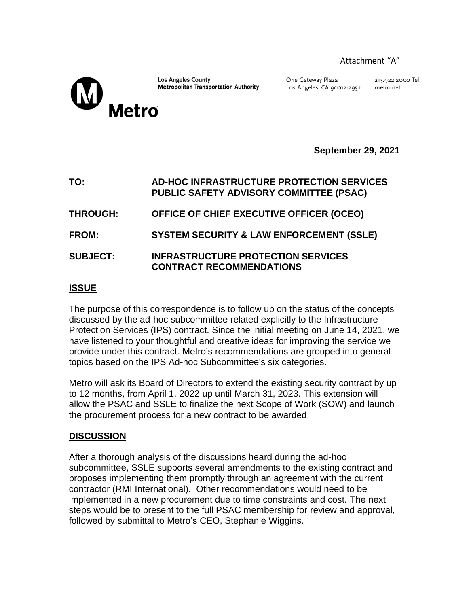## Attachment "A"

**Los Angeles County Metropolitan Transportation Authority** 

Metro

One Gateway Plaza Los Angeles, CA 90012-2952 213.922.2000 Tel metro.net

**September 29, 2021**

| TO:             | AD-HOC INFRASTRUCTURE PROTECTION SERVICES<br>PUBLIC SAFETY ADVISORY COMMITTEE (PSAC) |
|-----------------|--------------------------------------------------------------------------------------|
| <b>THROUGH:</b> | OFFICE OF CHIEF EXECUTIVE OFFICER (OCEO)                                             |
| <b>FROM:</b>    | <b>SYSTEM SECURITY &amp; LAW ENFORCEMENT (SSLE)</b>                                  |
| <b>SUBJECT:</b> | <b>INFRASTRUCTURE PROTECTION SERVICES</b><br><b>CONTRACT RECOMMENDATIONS</b>         |

# **ISSUE**

The purpose of this correspondence is to follow up on the status of the concepts discussed by the ad-hoc subcommittee related explicitly to the Infrastructure Protection Services (IPS) contract. Since the initial meeting on June 14, 2021, we have listened to your thoughtful and creative ideas for improving the service we provide under this contract. Metro's recommendations are grouped into general topics based on the IPS Ad-hoc Subcommittee's six categories.

Metro will ask its Board of Directors to extend the existing security contract by up to 12 months, from April 1, 2022 up until March 31, 2023. This extension will allow the PSAC and SSLE to finalize the next Scope of Work (SOW) and launch the procurement process for a new contract to be awarded.

# **DISCUSSION**

After a thorough analysis of the discussions heard during the ad-hoc subcommittee, SSLE supports several amendments to the existing contract and proposes implementing them promptly through an agreement with the current contractor (RMI International). Other recommendations would need to be implemented in a new procurement due to time constraints and cost. The next steps would be to present to the full PSAC membership for review and approval, followed by submittal to Metro's CEO, Stephanie Wiggins.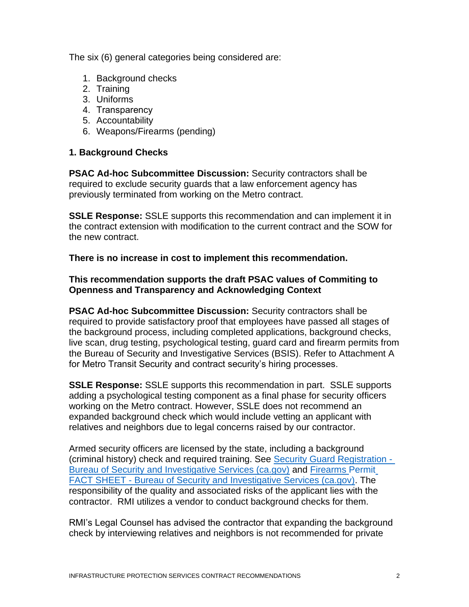The six (6) general categories being considered are:

- 1. Background checks
- 2. Training
- 3. Uniforms
- 4. Transparency
- 5. Accountability
- 6. Weapons/Firearms (pending)

# **1. Background Checks**

**PSAC Ad-hoc Subcommittee Discussion:** Security contractors shall be required to exclude security guards that a law enforcement agency has previously terminated from working on the Metro contract.

**SSLE Response:** SSLE supports this recommendation and can implement it in the contract extension with modification to the current contract and the SOW for the new contract.

**There is no increase in cost to implement this recommendation.**

# **This recommendation supports the draft PSAC values of Commiting to Openness and Transparency and Acknowledging Context**

**PSAC Ad-hoc Subcommittee Discussion:** Security contractors shall be required to provide satisfactory proof that employees have passed all stages of the background process, including completed applications, background checks, live scan, drug testing, psychological testing, guard card and firearm permits from the Bureau of Security and Investigative Services (BSIS). Refer to Attachment A for Metro Transit Security and contract security's hiring processes.

**SSLE Response:** SSLE supports this recommendation in part. SSLE supports adding a psychological testing component as a final phase for security officers working on the Metro contract. However, SSLE does not recommend an expanded background check which would include vetting an applicant with relatives and neighbors due to legal concerns raised by our contractor.

Armed security officers are licensed by the state, including a background (criminal history) check and required training. See [Security Guard Registration -](https://bsis.ca.gov/forms_pubs/guard_fact.shtml#:~:text=To%20be%20eligible%20to%20apply%20for%20a%20security,Power%20to%20Arrest%20training%20%28see%20%E2%80%9CTraining%20Requirements%E2%80%9D%20below%29) [Bureau of Security and Investigative Services \(ca.gov\)](https://bsis.ca.gov/forms_pubs/guard_fact.shtml#:~:text=To%20be%20eligible%20to%20apply%20for%20a%20security,Power%20to%20Arrest%20training%20%28see%20%E2%80%9CTraining%20Requirements%E2%80%9D%20below%29) and [Firearms Permit](https://bsis.ca.gov/forms_pubs/fire_fact.shtml) FACT SHEET - [Bureau of Security and Investigative Services \(ca.gov\).](https://bsis.ca.gov/forms_pubs/fire_fact.shtml) The responsibility of the quality and associated risks of the applicant lies with the contractor. RMI utilizes a vendor to conduct background checks for them.

RMI's Legal Counsel has advised the contractor that expanding the background check by interviewing relatives and neighbors is not recommended for private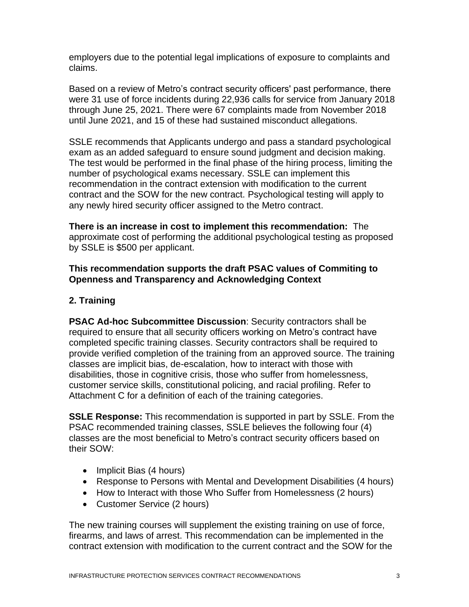employers due to the potential legal implications of exposure to complaints and claims.

Based on a review of Metro's contract security officers' past performance, there were 31 use of force incidents during 22,936 calls for service from January 2018 through June 25, 2021. There were 67 complaints made from November 2018 until June 2021, and 15 of these had sustained misconduct allegations.

SSLE recommends that Applicants undergo and pass a standard psychological exam as an added safeguard to ensure sound judgment and decision making. The test would be performed in the final phase of the hiring process, limiting the number of psychological exams necessary. SSLE can implement this recommendation in the contract extension with modification to the current contract and the SOW for the new contract. Psychological testing will apply to any newly hired security officer assigned to the Metro contract.

**There is an increase in cost to implement this recommendation:** The approximate cost of performing the additional psychological testing as proposed by SSLE is \$500 per applicant.

# **This recommendation supports the draft PSAC values of Commiting to Openness and Transparency and Acknowledging Context**

# **2. Training**

**PSAC Ad-hoc Subcommittee Discussion**: Security contractors shall be required to ensure that all security officers working on Metro's contract have completed specific training classes. Security contractors shall be required to provide verified completion of the training from an approved source. The training classes are implicit bias, de-escalation, how to interact with those with disabilities, those in cognitive crisis, those who suffer from homelessness, customer service skills, constitutional policing, and racial profiling. Refer to Attachment C for a definition of each of the training categories.

**SSLE Response:** This recommendation is supported in part by SSLE. From the PSAC recommended training classes, SSLE believes the following four (4) classes are the most beneficial to Metro's contract security officers based on their SOW:

- Implicit Bias (4 hours)
- Response to Persons with Mental and Development Disabilities (4 hours)
- How to Interact with those Who Suffer from Homelessness (2 hours)
- Customer Service (2 hours)

The new training courses will supplement the existing training on use of force, firearms, and laws of arrest. This recommendation can be implemented in the contract extension with modification to the current contract and the SOW for the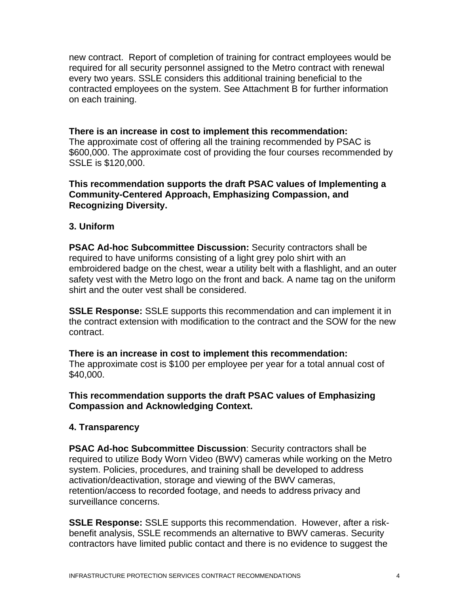new contract. Report of completion of training for contract employees would be required for all security personnel assigned to the Metro contract with renewal every two years. SSLE considers this additional training beneficial to the contracted employees on the system. See Attachment B for further information on each training.

### **There is an increase in cost to implement this recommendation:**

The approximate cost of offering all the training recommended by PSAC is \$600,000. The approximate cost of providing the four courses recommended by SSLE is \$120,000.

# **This recommendation supports the draft PSAC values of Implementing a Community-Centered Approach, Emphasizing Compassion, and Recognizing Diversity.**

### **3. Uniform**

**PSAC Ad-hoc Subcommittee Discussion:** Security contractors shall be required to have uniforms consisting of a light grey polo shirt with an embroidered badge on the chest, wear a utility belt with a flashlight, and an outer safety vest with the Metro logo on the front and back. A name tag on the uniform shirt and the outer vest shall be considered.

**SSLE Response:** SSLE supports this recommendation and can implement it in the contract extension with modification to the contract and the SOW for the new contract.

**There is an increase in cost to implement this recommendation:** The approximate cost is \$100 per employee per year for a total annual cost of \$40,000.

### **This recommendation supports the draft PSAC values of Emphasizing Compassion and Acknowledging Context.**

#### **4. Transparency**

**PSAC Ad-hoc Subcommittee Discussion**: Security contractors shall be required to utilize Body Worn Video (BWV) cameras while working on the Metro system. Policies, procedures, and training shall be developed to address activation/deactivation, storage and viewing of the BWV cameras, retention/access to recorded footage, and needs to address privacy and surveillance concerns.

**SSLE Response:** SSLE supports this recommendation. However, after a riskbenefit analysis, SSLE recommends an alternative to BWV cameras. Security contractors have limited public contact and there is no evidence to suggest the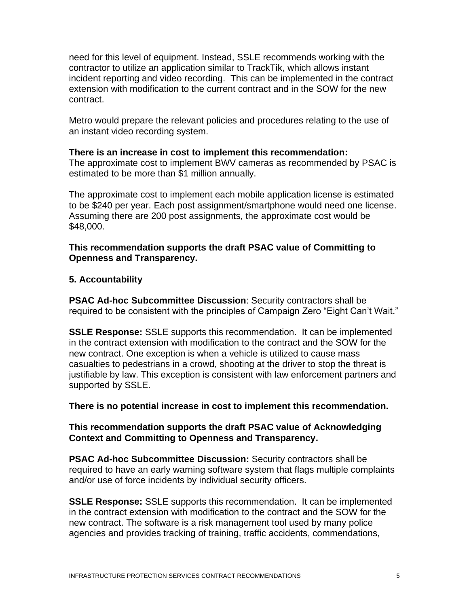need for this level of equipment. Instead, SSLE recommends working with the contractor to utilize an application similar to TrackTik, which allows instant incident reporting and video recording. This can be implemented in the contract extension with modification to the current contract and in the SOW for the new contract.

Metro would prepare the relevant policies and procedures relating to the use of an instant video recording system.

#### **There is an increase in cost to implement this recommendation:**

The approximate cost to implement BWV cameras as recommended by PSAC is estimated to be more than \$1 million annually.

The approximate cost to implement each mobile application license is estimated to be \$240 per year. Each post assignment/smartphone would need one license. Assuming there are 200 post assignments, the approximate cost would be \$48,000.

## **This recommendation supports the draft PSAC value of Committing to Openness and Transparency.**

### **5. Accountability**

**PSAC Ad-hoc Subcommittee Discussion**: Security contractors shall be required to be consistent with the principles of Campaign Zero "Eight Can't Wait."

**SSLE Response:** SSLE supports this recommendation. It can be implemented in the contract extension with modification to the contract and the SOW for the new contract. One exception is when a vehicle is utilized to cause mass casualties to pedestrians in a crowd, shooting at the driver to stop the threat is justifiable by law. This exception is consistent with law enforcement partners and supported by SSLE.

**There is no potential increase in cost to implement this recommendation.**

# **This recommendation supports the draft PSAC value of Acknowledging Context and Committing to Openness and Transparency.**

**PSAC Ad-hoc Subcommittee Discussion:** Security contractors shall be required to have an early warning software system that flags multiple complaints and/or use of force incidents by individual security officers.

**SSLE Response:** SSLE supports this recommendation. It can be implemented in the contract extension with modification to the contract and the SOW for the new contract. The software is a risk management tool used by many police agencies and provides tracking of training, traffic accidents, commendations,